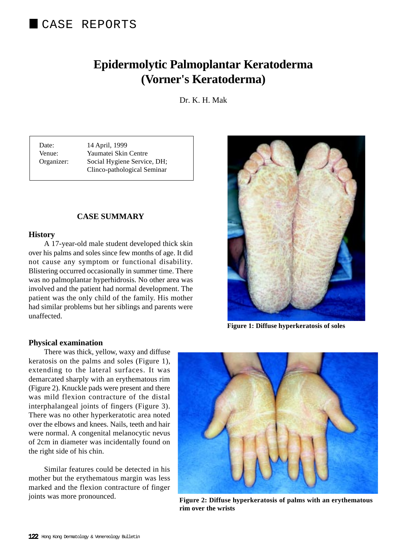# **Epidermolytic Palmoplantar Keratoderma (Vorner's Keratoderma)**

Dr. K. H. Mak

Date: 14 April, 1999 Venue: Yaumatei Skin Centre Organizer: Social Hygiene Service, DH; Clinco-pathological Seminar

## **CASE SUMMARY**

#### **History**

A 17-year-old male student developed thick skin over his palms and soles since few months of age. It did not cause any symptom or functional disability. Blistering occurred occasionally in summer time. There was no palmoplantar hyperhidrosis. No other area was involved and the patient had normal development. The patient was the only child of the family. His mother had similar problems but her siblings and parents were unaffected.

#### **Physical examination**

There was thick, yellow, waxy and diffuse keratosis on the palms and soles (Figure 1), extending to the lateral surfaces. It was demarcated sharply with an erythematous rim (Figure 2). Knuckle pads were present and there was mild flexion contracture of the distal interphalangeal joints of fingers (Figure 3). There was no other hyperkeratotic area noted over the elbows and knees. Nails, teeth and hair were normal. A congenital melanocytic nevus of 2cm in diameter was incidentally found on the right side of his chin.

Similar features could be detected in his mother but the erythematous margin was less marked and the flexion contracture of finger joints was more pronounced.



 **Figure 1: Diffuse hyperkeratosis of soles**



**Figure 2: Diffuse hyperkeratosis of palms with an erythematous rim over the wrists**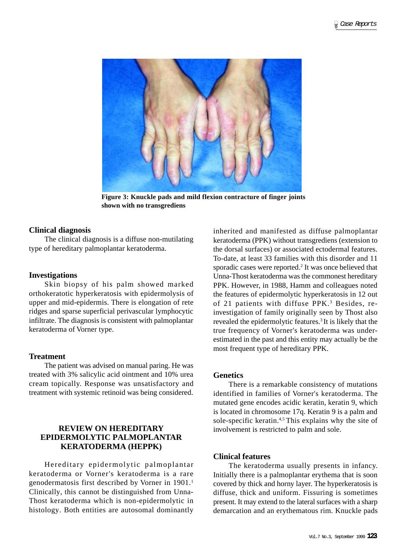

**Figure 3: Knuckle pads and mild flexion contracture of finger joints shown with no transgrediens**

## **Clinical diagnosis**

The clinical diagnosis is a diffuse non-mutilating type of hereditary palmoplantar keratoderma.

## **Investigations**

Skin biopsy of his palm showed marked orthokeratotic hyperkeratosis with epidermolysis of upper and mid-epidermis. There is elongation of rete ridges and sparse superficial perivascular lymphocytic infiltrate. The diagnosis is consistent with palmoplantar keratoderma of Vorner type.

## **Treatment**

The patient was advised on manual paring. He was treated with 3% salicylic acid ointment and 10% urea cream topically. Response was unsatisfactory and treatment with systemic retinoid was being considered.

# **REVIEW ON HEREDITARY EPIDERMOLYTIC PALMOPLANTAR KERATODERMA (HEPPK)**

Hereditary epidermolytic palmoplantar keratoderma or Vorner's keratoderma is a rare genodermatosis first described by Vorner in 1901.<sup>1</sup> Clinically, this cannot be distinguished from Unna-Thost keratoderma which is non-epidermolytic in histology. Both entities are autosomal dominantly inherited and manifested as diffuse palmoplantar keratoderma (PPK) without transgrediens (extension to the dorsal surfaces) or associated ectodermal features. To-date, at least 33 families with this disorder and 11 sporadic cases were reported.<sup>2</sup> It was once believed that Unna-Thost keratoderma was the commonest hereditary PPK. However, in 1988, Hamm and colleagues noted the features of epidermolytic hyperkeratosis in 12 out of 21 patients with diffuse PPK.<sup>3</sup> Besides, reinvestigation of family originally seen by Thost also revealed the epidermolytic features.3 It is likely that the true frequency of Vorner's keratoderma was underestimated in the past and this entity may actually be the most frequent type of hereditary PPK.

## **Genetics**

There is a remarkable consistency of mutations identified in families of Vorner's keratoderma. The mutated gene encodes acidic keratin, keratin 9, which is located in chromosome 17q. Keratin 9 is a palm and sole-specific keratin.4,5 This explains why the site of involvement is restricted to palm and sole.

#### **Clinical features**

The keratoderma usually presents in infancy. Initially there is a palmoplantar erythema that is soon covered by thick and horny layer. The hyperkeratosis is diffuse, thick and uniform. Fissuring is sometimes present. It may extend to the lateral surfaces with a sharp demarcation and an erythematous rim. Knuckle pads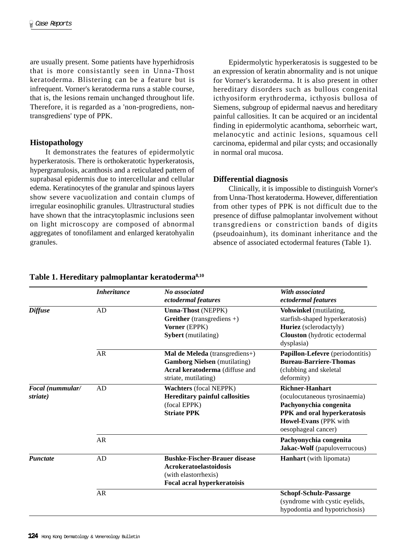are usually present. Some patients have hyperhidrosis that is more consistantly seen in Unna-Thost keratoderma. Blistering can be a feature but is infrequent. Vorner's keratoderma runs a stable course, that is, the lesions remain unchanged throughout life. Therefore, it is regarded as a 'non-progrediens, nontransgrediens' type of PPK.

## **Histopathology**

It demonstrates the features of epidermolytic hyperkeratosis. There is orthokeratotic hyperkeratosis, hypergranulosis, acanthosis and a reticulated pattern of suprabasal epidermis due to intercellular and cellular edema. Keratinocytes of the granular and spinous layers show severe vacuolization and contain clumps of irregular eosinophilic granules. Ultrastructural studies have shown that the intracytoplasmic inclusions seen on light microscopy are composed of abnormal aggregates of tonofilament and enlarged keratohyalin granules.

Epidermolytic hyperkeratosis is suggested to be an expression of keratin abnormality and is not unique for Vorner's keratoderma. It is also present in other hereditary disorders such as bullous congenital icthyosiform erythroderma, icthyosis bullosa of Siemens, subgroup of epidermal naevus and hereditary painful callosities. It can be acquired or an incidental finding in epidermolytic acanthoma, seborrheic wart, melanocytic and actinic lesions, squamous cell carcinoma, epidermal and pilar cysts; and occasionally in normal oral mucosa.

## **Differential diagnosis**

Clinically, it is impossible to distinguish Vorner's from Unna-Thost keratoderma. However, differentiation from other types of PPK is not difficult due to the presence of diffuse palmoplantar involvement without transgrediens or constriction bands of digits (pseudoainhum), its dominant inheritance and the absence of associated ectodermal features (Table 1).

|                              | <b>Inheritance</b> | No associated<br>ectodermal features                                                                                            | With associated<br>ectodermal features                                                                                                                           |
|------------------------------|--------------------|---------------------------------------------------------------------------------------------------------------------------------|------------------------------------------------------------------------------------------------------------------------------------------------------------------|
| <b>Diffuse</b>               | AD                 | <b>Unna-Thost (NEPPK)</b><br><b>Greither</b> (transgrediens $+)$<br>Vorner (EPPK)<br><b>Sybert</b> (mutilating)                 | Vohwinkel (mutilating,<br>starfish-shaped hyperkeratosis)<br>Huriez (sclerodactyly)<br>Clouston (hydrotic ectodermal<br>dysplasia)                               |
|                              | <b>AR</b>          | Mal de Meleda (transgrediens+)<br><b>Gamborg Nielsen</b> (mutilating)<br>Acral keratoderma (diffuse and<br>striate, mutilating) | Papillon-Lefevre (periodontitis)<br><b>Bureau-Barriere-Thomas</b><br>(clubbing and skeletal<br>deformity)                                                        |
| Focal (nummular/<br>striate) | AD                 | <b>Wachters</b> (focal NEPPK)<br><b>Hereditary painful callosities</b><br>(focal EPPK)<br><b>Striate PPK</b>                    | <b>Richner-Hanhart</b><br>(oculocutaneous tyrosinaemia)<br>Pachyonychia congenita<br>PPK and oral hyperkeratosis<br>Howel-Evans (PPK with<br>oesophageal cancer) |
|                              | <b>AR</b>          |                                                                                                                                 | Pachyonychia congenita<br>Jakac-Wolf (papuloverrucous)                                                                                                           |
| <b>Punctate</b>              | AD                 | <b>Bushke-Fischer-Brauer disease</b><br><b>Acrokeratoelastoidosis</b><br>(with elastorrhexis)<br>Focal acral hyperkeratoisis    | <b>Hanhart</b> (with lipomata)                                                                                                                                   |
|                              | <b>AR</b>          |                                                                                                                                 | <b>Schopf-Schulz-Passarge</b><br>(syndrome with cystic eyelids,<br>hypodontia and hypotrichosis)                                                                 |

## **Table 1. Hereditary palmoplantar keratoderma8,10**